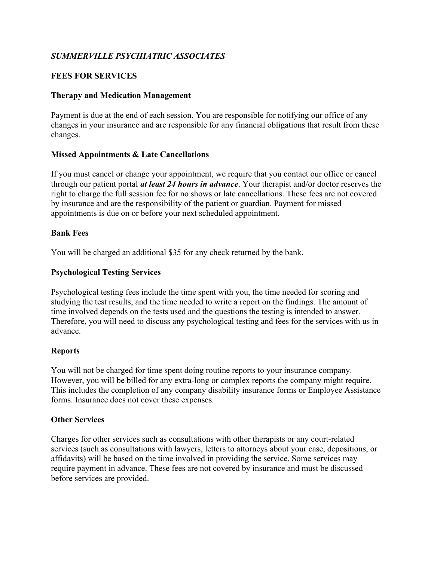# SUMMERVILLE PSYCHIATRIC ASSOCIATES

# FEES FOR SERVICES

## Therapy and Medication Management

Payment is due at the end of each session. You are responsible for notifying our office of any changes in your insurance and are responsible for any financial obligations that result from these changes.

# Missed Appointments & Late Cancellations

If you must cancel or change your appointment, we require that you contact our office or cancel through our patient portal *at least 24 hours in advance*. Your therapist and/or doctor reserves the right to charge the full session fee for no shows or late cancellations. These fees are not covered by insurance and are the responsibility of the patient or guardian. Payment for missed appointments is due on or before your next scheduled appointment.

#### Bank Fees

You will be charged an additional \$35 for any check returned by the bank.

# Psychological Testing Services

Psychological testing fees include the time spent with you, the time needed for scoring and studying the test results, and the time needed to write a report on the findings. The amount of time involved depends on the tests used and the questions the testing is intended to answer. Therefore, you will need to discuss any psychological testing and fees for the services with us in advance.

#### **Reports**

You will not be charged for time spent doing routine reports to your insurance company. However, you will be billed for any extra-long or complex reports the company might require. This includes the completion of any company disability insurance forms or Employee Assistance forms. Insurance does not cover these expenses.

#### Other Services

Charges for other services such as consultations with other therapists or any court-related services (such as consultations with lawyers, letters to attorneys about your case, depositions, or affidavits) will be based on the time involved in providing the service. Some services may require payment in advance. These fees are not covered by insurance and must be discussed before services are provided.